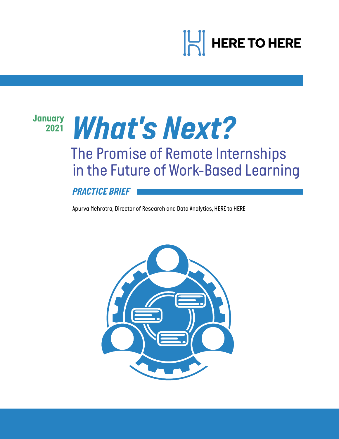

# *January*

# *<sup>2021</sup> What's Next?*

# *The Promise of Remote Internships in the Future of Work-Based Learning*

*PRACTICE BRIEF*

*Apurva Mehrotra, Director of Research and Data Analytics, HERE to HERE*

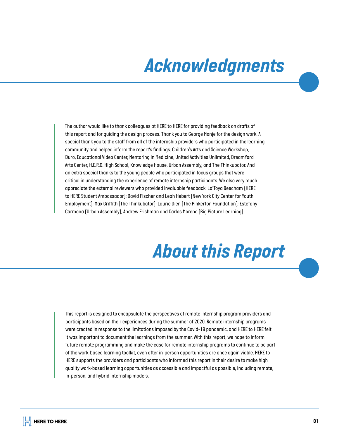# *Acknowledgments*

*The author would like to thank colleagues at HERE to HERE for providing feedback on drafts of this report and for guiding the design process. Thank you to George Monje for the design work. A special thank you to the staff from all of the internship providers who participated in the learning community and helped inform the report's findings: Children's Arts and Science Workshop, Duro, Educational Video Center, Mentoring in Medicine, United Activities Unlimited, DreamYard Arts Center, H.E.R.O. High School, Knowledge House, Urban Assembly, and The Thinkubator. And an extra special thanks to the young people who participated in focus groups that were critical in understanding the experience of remote internship participants. We also very much appreciate the external reviewers who provided invaluable feedback: La'Toya Beecham (HERE to HERE Student Ambassador); David Fischer and Leah Hebert (New York City Center for Youth Employment); Max Griffith (The Thinkubator); Laurie Dien (The Pinkerton Foundation); Estefany Carmona (Urban Assembly); Andrew Frishman and Carlos Moreno (Big Picture Learning).* 

# *About this Report*

*This report is designed to encapsulate the perspectives of remote internship program providers and participants based on their experiences during the summer of 2020. Remote internship programs were created in response to the limitations imposed by the Covid-19 pandemic, and HERE to HERE felt it was important to document the learnings from the summer. With this report, we hope to inform future remote programming and make the case for remote internship programs to continue to be part of the work-based learning toolkit, even after in-person opportunities are once again viable. HERE to HERE supports the providers and participants who informed this report in their desire to make high quality work-based learning opportunities as accessible and impactful as possible, including remote, in-person, and hybrid internship models.*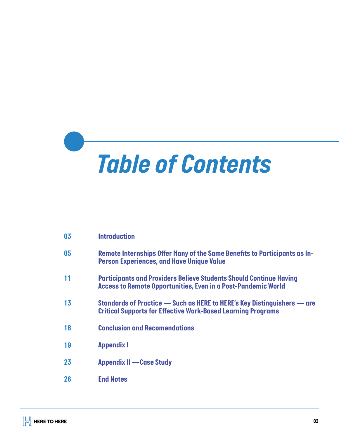

| 03 | <b>Introduction</b>                                                                                                                               |
|----|---------------------------------------------------------------------------------------------------------------------------------------------------|
| 05 | Remote Internships Offer Many of the Same Benefits to Participants as In-<br><b>Person Experiences, and Have Unique Value</b>                     |
| 11 | <b>Participants and Providers Believe Students Should Continue Having</b><br><b>Access to Remote Opportunities, Even in a Post-Pandemic World</b> |
| 13 | Standards of Practice — Such as HERE to HERE's Key Distinguishers — are<br><b>Critical Supports for Effective Work-Based Learning Programs</b>    |
| 16 | <b>Conclusion and Recomendations</b>                                                                                                              |
| 19 | <b>Appendix I</b>                                                                                                                                 |
| 23 | <b>Appendix II - Case Study</b>                                                                                                                   |
| 26 | <b>End Notes</b>                                                                                                                                  |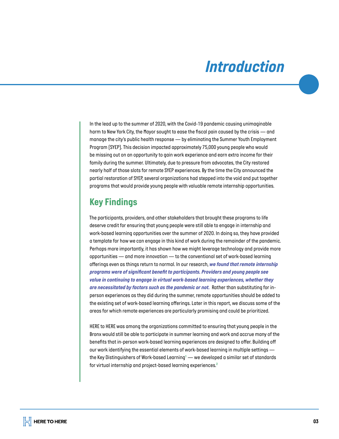# *Introduction*

*In the lead up to the summer of 2020, with the Covid-19 pandemic causing unimaginable harm to New York City, the Mayor sought to ease the fiscal pain caused by the crisis — and manage the city's public health response — by eliminating the Summer Youth Employment Program (SYEP). This decision impacted approximately 75,000 young people who would be missing out on an opportunity to gain work experience and earn extra income for their family during the summer. Ultimately, due to pressure from advocates, the City restored nearly half of those slots for remote SYEP experiences. By the time the City announced the partial restoration of SYEP, several organizations had stepped into the void and put together programs that would provide young people with valuable remote internship opportunities.* 

# *Key Findings*

*The participants, providers, and other stakeholders that brought these programs to life deserve credit for ensuring that young people were still able to engage in internship and work-based learning opportunities over the summer of 2020. In doing so, they have provided a template for how we can engage in this kind of work during the remainder of the pandemic. Perhaps more importantly, it has shown how we might leverage technology and provide more opportunities — and more innovation — to the conventional set of work-based learning offerings even as things return to normal. In our research, we found that remote internship programs were of significant benefit to participants. Providers and young people see value in continuing to engage in virtual work-based learning experiences, whether they are necessitated by factors such as the pandemic or not. Rather than substituting for inperson experiences as they did during the summer, remote opportunities should be added to the existing set of work-based learning offerings. Later in this report, we discuss some of the areas for which remote experiences are particularly promising and could be prioritized.* 

*HERE to HERE was among the organizations committed to ensuring that young people in the Bronx would still be able to participate in summer learning and work and accrue many of the*  benefits that in-person work-based learning experiences are designed to offer. Building off *our work identifying the essential elements of work-based learning in multiple settings the Key Distinguishers of Work-based Learning<sup>1</sup> — we developed a similar set of standards for virtual internship and project-based learning experiences.<sup>2</sup>*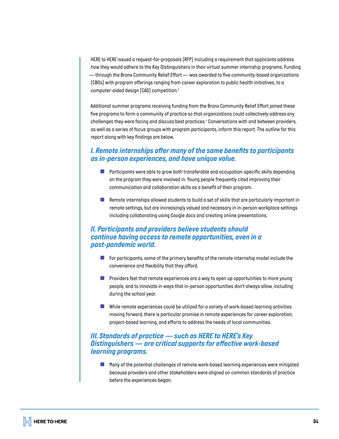*HERE to HERE issued a request-for-proposals (RFP) including a requirement that applicants address how they would adhere to the Key Distinguishers in their virtual summer internship programs. Funding — through the Bronx Community Relief Effort — was awarded to five community-based organizations (CBOs) with program offerings ranging from career exploration to public health initiatives, to a computer-aided design (CAD) competition.<sup>3</sup>*

*Additional summer programs receiving funding from the Bronx Community Relief Effort joined these five programs to form a community of practice so that organizations could collectively address any challenges they were facing and discuss best practices.<sup>4</sup> Conversations with and between providers, as well as a series of focus groups with program participants, inform this report. The outline for this report along with key findings are below.*

#### *I. Remote internships offer many of the same benefits to participants as in-person experiences, and have unique value.*

- *Participants were able to grow both transferable and occupation-specific skills depending on the program they were involved in. Young people frequently cited improving their communication and collaboration skills as a benefit of their program.*
- *Remote internships allowed students to build a set of skills that are particularly important in remote settings, but are increasingly valued and necessary in in-person workplace settings including collaborating using Google docs and creating online presentations.*

#### *II. Participants and providers believe students should continue having access to remote opportunities, even in a post-pandemic world.*

- **For participants, some of the primary benefits of the remote internship model include the** *convenience and flexibility that they afford.*
- *Providers feel that remote experiences are a way to open up opportunities to more young people, and to innovate in ways that in-person opportunities don't always allow, including during the school year.*
- *While remote experiences could be utilized for a variety of work-based learning activities moving forward, there is particular promise in remote experiences for career exploration, project-based learning, and efforts to address the needs of local communities.*

#### *III. Standards of practice — such as HERE to HERE's Key Distinguishers — are critical supports for effective work-based learning programs.*

*Many of the potential challenges of remote work-based learning experiences were mitigated because providers and other stakeholders were aligned on common standards of practice before the experiences began.*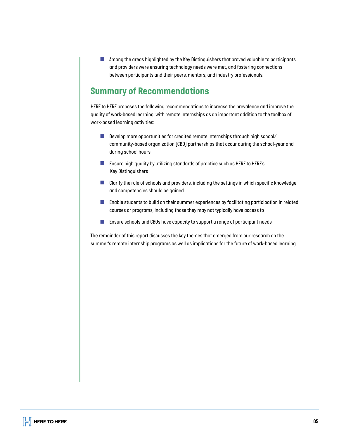*Among the areas highlighted by the Key Distinguishers that proved valuable to participants and providers were ensuring technology needs were met, and fostering connections between participants and their peers, mentors, and industry professionals.*

# *Summary of Recommendations*

*HERE to HERE proposes the following recommendations to increase the prevalence and improve the quality of work-based learning, with remote internships as an important addition to the toolbox of work-based learning activities:*

- $\mathcal{L}_{\mathcal{A}}$ *Develop more opportunities for credited remote internships through high school/ community-based organization (CBO) partnerships that occur during the school-year and during school hours*
- *Ensure high quality by utilizing standards of practice such as HERE to HERE's Key Distinguishers*
- *Clarify the role of schools and providers, including the settings in which specific knowledge and competencies should be gained*
- *Enable students to build on their summer experiences by facilitating participation in related courses or programs, including those they may not typically have access to*
- $\vert \cdot \vert$ *Ensure schools and CBOs have capacity to support a range of participant needs*

*The remainder of this report discusses the key themes that emerged from our research on the summer's remote internship programs as well as implications for the future of work-based learning.*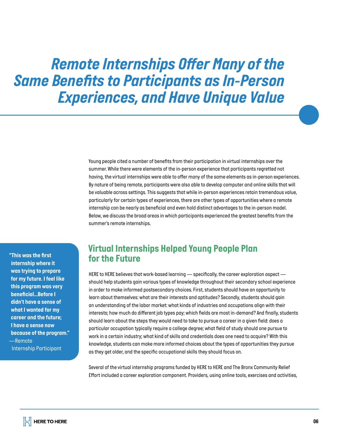# *Remote Internships Offer Many of the Same Benefits to Participants as In-Person Experiences, and Have Unique Value*

*Young people cited a number of benefits from their participation in virtual internships over the summer. While there were elements of the in-person experience that participants regretted not having, the virtual internships were able to offer many of the same elements as in-person experiences. By nature of being remote, participants were also able to develop computer and online skills that will be valuable across settings. This suggests that while in-person experiences retain tremendous value, particularly for certain types of experiences, there are other types of opportunities where a remote internship can be nearly as beneficial and even hold distinct advantages to the in-person model. Below, we discuss the broad areas in which participants experienced the greatest benefits from the summer's remote internships.* 

*"This was the first internship where it was trying to prepare for my future. I feel like this program was very beneficial...Before I didn't have a sense of what I wanted for my career and the future; I have a sense now because of the program." —Remote Internship Participant*

### *Virtual Internships Helped Young People Plan for the Future*

*HERE to HERE believes that work-based learning — specifically, the career exploration aspect should help students gain various types of knowledge throughout their secondary school experience in order to make informed postsecondary choices. First, students should have an opportunity to learn about themselves: what are their interests and aptitudes? Secondly, students should gain an understanding of the labor market: what kinds of industries and occupations align with their interests; how much do different job types pay; which fields are most in-demand? And finally, students should learn about the steps they would need to take to pursue a career in a given field: does a particular occupation typically require a college degree; what field of study should one pursue to work in a certain industry; what kind of skills and credentials does one need to acquire? With this knowledge, students can make more informed choices about the types of opportunities they pursue as they get older, and the specific occupational skills they should focus on.*

*Several of the virtual internship programs funded by HERE to HERE and The Bronx Community Relief Effort included a career exploration component. Providers, using online tools, exercises and activities,*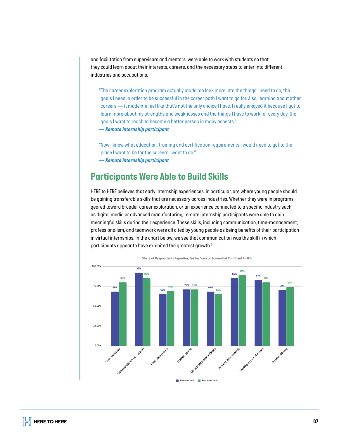*and facilitation from supervisors and mentors, were able to work with students so that they could learn about their interests, careers, and the necessary steps to enter into different industries and occupations.*

*"The career exploration program actually made me look more into the things I need to do, the goals I need in order to be successful in the career path I want to go for. Also, learning about other careers — it made me feel like that's not the only choice I have. I really enjoyed it because I got to learn more about my strengths and weaknesses and the things I have to work for every day, the goals I want to reach to become a better person in many aspects."*

*— Remote internship participant* 

*"Now I know what education, training and certification requirements I would need to get to the place I want to be for the careers I want to do." — Remote internship participant*

### *Participants Were Able to Build Skills*

*HERE to HERE believes that early internship experiences, in particular, are where young people should be gaining transferable skills that are necessary across industries. Whether they were in programs geared toward broader career exploration, or an experience connected to a specific industry such as digital media or advanced manufacturing, remote internship participants were able to gain meaningful skills during their experience. These skills, including communication, time-management, professionalism, and teamwork were all cited by young people as being benefits of their participation in virtual internships. In the chart below, we see that communication was the skill in which participants appear to have exhibited the greatest growth.5*



Pre-internship Post-internship

Share of Respondents Reporting Feeling Very or Somewhat Confident in Skill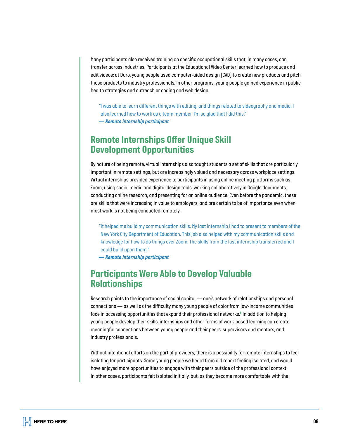*Many participants also received training on specific occupational skills that, in many cases, can transfer across industries. Participants at the Educational Video Center learned how to produce and edit videos; at Duro, young people used computer-aided design (CAD) to create new products and pitch those products to industry professionals. In other programs, young people gained experience in public health strategies and outreach or coding and web design.*

*"I was able to learn different things with editing, and things related to videography and media. I also learned how to work as a team member. I'm so glad that I did this." — Remote internship participant* 

# *Remote Internships Offer Unique Skill Development Opportunities*

*By nature of being remote, virtual internships also taught students a set of skills that are particularly important in remote settings, but are increasingly valued and necessary across workplace settings. Virtual internships provided experience to participants in using online meeting platforms such as Zoom, using social media and digital design tools, working collaboratively in Google documents, conducting online research, and presenting for an online audience. Even before the pandemic, these are skills that were increasing in value to employers, and are certain to be of importance even when most work is not being conducted remotely.*

*"It helped me build my communication skills. My last internship I had to present to members of the New York City Department of Education. This job also helped with my communication skills and knowledge for how to do things over Zoom. The skills from the last internship transferred and I could build upon them."*

*— Remote internship participant* 

### *Participants Were Able to Develop Valuable Relationships*

*Research points to the importance of social capital — one's network of relationships and personal connections — as well as the difficulty many young people of color from low-income communities face in accessing opportunities that expand their professional networks.<sup>6</sup> In addition to helping young people develop their skills, internships and other forms of work-based learning can create meaningful connections between young people and their peers, supervisors and mentors, and industry professionals.* 

*Without intentional efforts on the part of providers, there is a possibility for remote internships to feel isolating for participants. Some young people we heard from did report feeling isolated, and would have enjoyed more opportunities to engage with their peers outside of the professional context. In other cases, participants felt isolated initially, but, as they became more comfortable with the*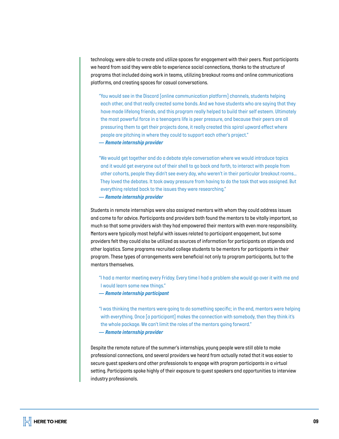*technology, were able to create and utilize spaces for engagement with their peers. Most participants we heard from said they were able to experience social connections, thanks to the structure of programs that included doing work in teams, utilizing breakout rooms and online communications platforms, and creating spaces for casual conversations.* 

*"You would see in the Discord [online communication platform] channels, students helping each other, and that really created some bonds. And we have students who are saying that they have made lifelong friends, and this program really helped to build their self esteem. Ultimately the most powerful force in a teenagers life is peer pressure, and because their peers are all pressuring them to get their projects done, it really created this spiral upward effect where people are pitching in where they could to support each other's project." — Remote internship provider* 

*"We would get together and do a debate style conversation where we would introduce topics and it would get everyone out of their shell to go back and forth, to interact with people from other cohorts, people they didn't see every day, who weren't in their particular breakout rooms… They loved the debates. It took away pressure from having to do the task that was assigned. But everything related back to the issues they were researching."*

*— Remote internship provider*

*Students in remote internships were also assigned mentors with whom they could address issues and come to for advice. Participants and providers both found the mentors to be vitally important, so much so that some providers wish they had empowered their mentors with even more responsibility. Mentors were typically most helpful with issues related to participant engagement, but some providers felt they could also be utilized as sources of information for participants on stipends and other logistics. Some programs recruited college students to be mentors for participants in their program. These types of arrangements were beneficial not only to program participants, but to the mentors themselves.* 

*"I had a mentor meeting every Friday. Every time I had a problem she would go over it with me and I would learn some new things."*

*— Remote internship participant*

*"I was thinking the mentors were going to do something specific; in the end, mentors were helping with everything. Once [a participant] makes the connection with somebody, then they think it's the whole package. We can't limit the roles of the mentors going forward." — Remote internship provider*

*Despite the remote nature of the summer's internships, young people were still able to make professional connections, and several providers we heard from actually noted that it was easier to secure guest speakers and other professionals to engage with program participants in a virtual setting. Participants spoke highly of their exposure to guest speakers and opportunities to interview industry professionals.*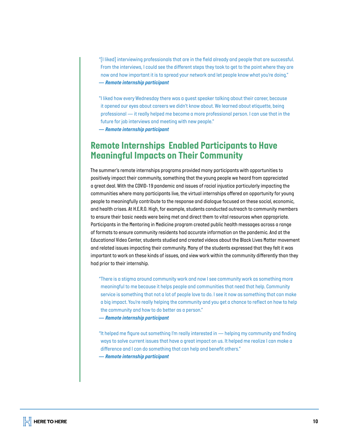*"[I liked] interviewing professionals that are in the field already and people that are successful. From the interviews, I could see the different steps they took to get to the point where they are now and how important it is to spread your network and let people know what you're doing." — Remote internship participant*

*"I liked how every Wednesday there was a guest speaker talking about their career, because it opened our eyes about careers we didn't know about. We learned about etiquette, being professional — it really helped me become a more professional person. I can use that in the future for job interviews and meeting with new people."*

*— Remote internship participant*

### *Remote Internships Enabled Participants to Have Meaningful Impacts on Their Community*

*The summer's remote internships programs provided many participants with opportunities to positively impact their community, something that the young people we heard from appreciated a great deal. With the COVID-19 pandemic and issues of racial injustice particularly impacting the communities where many participants live, the virtual internships offered an opportunity for young people to meaningfully contribute to the response and dialogue focused on these social, economic, and health crises. At H.E.R.O. High, for example, students conducted outreach to community members to ensure their basic needs were being met and direct them to vital resources when appropriate. Participants in the Mentoring in Medicine program created public health messages across a range of formats to ensure community residents had accurate information on the pandemic. And at the Educational Video Center, students studied and created videos about the Black Lives Matter movement and related issues impacting their community. Many of the students expressed that they felt it was important to work on these kinds of issues, and view work within the community differently than they had prior to their internship.*

*"There is a stigma around community work and now I see community work as something more meaningful to me because it helps people and communities that need that help. Community service is something that not a lot of people love to do. I see it now as something that can make a big impact. You're really helping the community and you get a chance to reflect on how to help the community and how to do better as a person." — Remote internship participant*

*"It helped me figure out something I'm really interested in — helping my community and finding ways to solve current issues that have a great impact on us. It helped me realize I can make a difference and I can do something that can help and benefit others."*

*— Remote internship participant*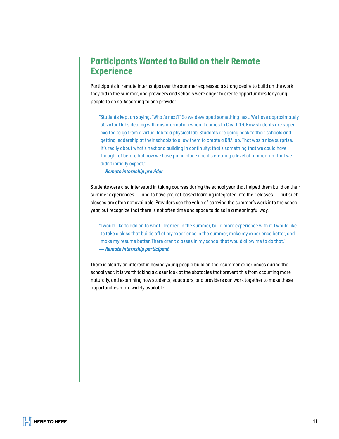# *Participants Wanted to Build on their Remote Experience*

*Participants in remote internships over the summer expressed a strong desire to build on the work they did in the summer, and providers and schools were eager to create opportunities for young people to do so. According to one provider:*

*"Students kept on saying, "What's next?" So we developed something next. We have approximately 30 virtual labs dealing with misinformation when it comes to Covid-19. Now students are super excited to go from a virtual lab to a physical lab. Students are going back to their schools and getting leadership at their schools to allow them to create a DNA lab. That was a nice surprise.*  It's really about what's next and building in continuity; that's something that we could have *thought of before but now we have put in place and it's creating a level of momentum that we didn't initially expect."*

*— Remote internship provider*

*Students were also interested in taking courses during the school year that helped them build on their summer experiences — and to have project-based learning integrated into their classes — but such classes are often not available. Providers see the value of carrying the summer's work into the school year, but recognize that there is not often time and space to do so in a meaningful way.*

*"I would like to add on to what I learned in the summer, build more experience with it. I would like to take a class that builds off of my experience in the summer, make my experience better, and make my resume better. There aren't classes in my school that would allow me to do that." — Remote internship participant*

*There is clearly an interest in having young people build on their summer experiences during the school year. It is worth taking a closer look at the obstacles that prevent this from occurring more naturally, and examining how students, educators, and providers can work together to make these opportunities more widely available.*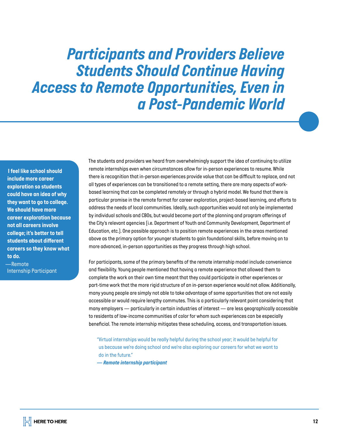# *Participants and Providers Believe Students Should Continue Having Access to Remote Opportunities, Even in a Post-Pandemic World*

 *I feel like school should include more career exploration so students could have an idea of why they want to go to college. We should have more career exploration because not all careers involve college; it's better to tell students about different careers so they know what to do.*

*—Remote Internship Participant* *The students and providers we heard from overwhelmingly support the idea of continuing to utilize remote internships even when circumstances allow for in-person experiences to resume. While there is recognition that in-person experiences provide value that can be difficult to replace, and not all types of experiences can be transitioned to a remote setting, there are many aspects of workbased learning that can be completed remotely or through a hybrid model. We found that there is particular promise in the remote format for career exploration, project-based learning, and efforts to address the needs of local communities. Ideally, such opportunities would not only be implemented by individual schools and CBOs, but would become part of the planning and program offerings of the City's relevant agencies (i.e. Department of Youth and Community Development, Department of Education, etc.). One possible approach is to position remote experiences in the areas mentioned above as the primary option for younger students to gain foundational skills, before moving on to more advanced, in-person opportunities as they progress through high school.* 

*For participants, some of the primary benefits of the remote internship model include convenience and flexibility. Young people mentioned that having a remote experience that allowed them to complete the work on their own time meant that they could participate in other experiences or part-time work that the more rigid structure of an in-person experience would not allow. Additionally, many young people are simply not able to take advantage of some opportunities that are not easily accessible or would require lengthy commutes. This is a particularly relevant point considering that many employers — particularly in certain industries of interest — are less geographically accessible to residents of low-income communities of color for whom such experiences can be especially beneficial. The remote internship mitigates these scheduling, access, and transportation issues.* 

*"Virtual internships would be really helpful during the school year; it would be helpful for us because we're doing school and we're also exploring our careers for what we want to do in the future."*

*— Remote internship participant*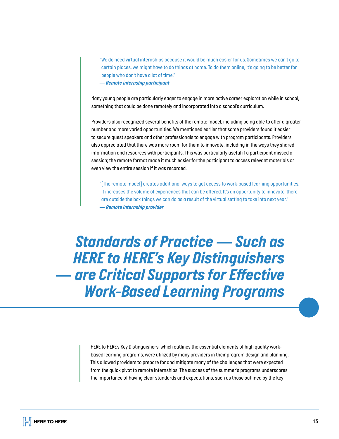*"We do need virtual internships because it would be much easier for us. Sometimes we can't go to certain places, we might have to do things at home. To do them online, it's going to be better for people who don't have a lot of time."*

*— Remote internship participant*

*Many young people are particularly eager to engage in more active career exploration while in school, something that could be done remotely and incorporated into a school's curriculum.*

*Providers also recognized several benefits of the remote model, including being able to offer a greater number and more varied opportunities. We mentioned earlier that some providers found it easier to secure guest speakers and other professionals to engage with program participants. Providers also appreciated that there was more room for them to innovate, including in the ways they shared information and resources with participants. This was particularly useful if a participant missed a session; the remote format made it much easier for the participant to access relevant materials or even view the entire session if it was recorded.*

*"[The remote model] creates additional ways to get access to work-based learning opportunities. It increases the volume of experiences that can be offered. It's an opportunity to innovate; there are outside the box things we can do as a result of the virtual setting to take into next year." — Remote internship provider*

*Standards of Practice — Such as HERE to HERE's Key Distinguishers — are Critical Supports for Effective Work-Based Learning Programs*

> *HERE to HERE's Key Distinguishers, which outlines the essential elements of high quality workbased learning programs, were utilized by many providers in their program design and planning. This allowed providers to prepare for and mitigate many of the challenges that were expected from the quick pivot to remote internships. The success of the summer's programs underscores the importance of having clear standards and expectations, such as those outlined by the Key*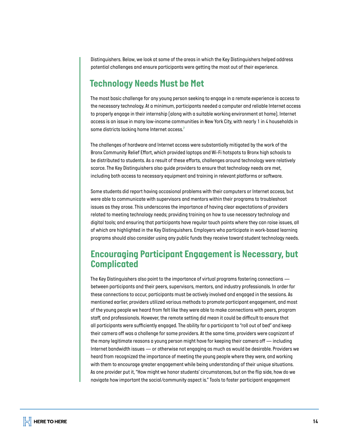*Distinguishers. Below, we look at some of the areas in which the Key Distinguishers helped address potential challenges and ensure participants were getting the most out of their experience.*

### *Technology Needs Must be Met*

*The most basic challenge for any young person seeking to engage in a remote experience is access to the necessary technology. At a minimum, participants needed a computer and reliable Internet access to properly engage in their internship (along with a suitable working environment at home). Internet access is an issue in many low-income communities in New York City, with nearly 1 in 4 households in some districts lacking home Internet access.<sup>7</sup>*

*The challenges of hardware and Internet access were substantially mitigated by the work of the Bronx Community Relief Effort, which provided laptops and Wi-Fi hotspots to Bronx high schools to be distributed to students. As a result of these efforts, challenges around technology were relatively scarce. The Key Distinguishers also guide providers to ensure that technology needs are met, including both access to necessary equipment and training in relevant platforms or software.* 

*Some students did report having occasional problems with their computers or Internet access, but were able to communicate with supervisors and mentors within their programs to troubleshoot issues as they arose. This underscores the importance of having clear expectations of providers related to meeting technology needs; providing training on how to use necessary technology and digital tools; and ensuring that participants have regular touch points where they can raise issues, all of which are highlighted in the Key Distinguishers. Employers who participate in work-based learning programs should also consider using any public funds they receive toward student technology needs.*

# *Encouraging Participant Engagement is Necessary, but Complicated*

*The Key Distinguishers also point to the importance of virtual programs fostering connections between participants and their peers, supervisors, mentors, and industry professionals. In order for these connections to occur, participants must be actively involved and engaged in the sessions. As mentioned earlier, providers utilized various methods to promote participant engagement, and most of the young people we heard from felt like they were able to make connections with peers, program staff, and professionals. However, the remote setting did mean it could be difficult to ensure that all participants were sufficiently engaged. The ability for a participant to "roll out of bed" and keep their camera off was a challenge for some providers. At the same time, providers were cognizant of the many legitimate reasons a young person might have for keeping their camera off — including Internet bandwidth issues — or otherwise not engaging as much as would be desirable. Providers we heard from recognized the importance of meeting the young people where they were, and working with them to encourage greater engagement while being understanding of their unique situations. As one provider put it, "How might we honor students' circumstances, but on the flip side, how do we navigate how important the social/community aspect is." Tools to foster participant engagement*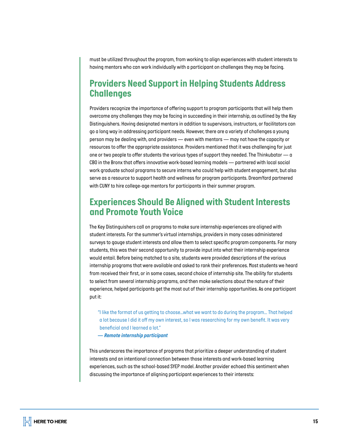*must be utilized throughout the program, from working to align experiences with student interests to having mentors who can work individually with a participant on challenges they may be facing.*

### *Providers Need Support in Helping Students Address Challenges*

*Providers recognize the importance of offering support to program participants that will help them overcome any challenges they may be facing in succeeding in their internship, as outlined by the Key Distinguishers. Having designated mentors in addition to supervisors, instructors, or facilitators can go a long way in addressing participant needs. However, there are a variety of challenges a young person may be dealing with, and providers — even with mentors — may not have the capacity or resources to offer the appropriate assistance. Providers mentioned that it was challenging for just one or two people to offer students the various types of support they needed. The Thinkubator — a CBO in the Bronx that offers innovative work-based learning models — partnered with local social work graduate school programs to secure interns who could help with student engagement, but also serve as a resource to support health and wellness for program participants. DreamYard partnered with CUNY to hire college-age mentors for participants in their summer program.*

### *Experiences Should Be Aligned with Student Interests and Promote Youth Voice*

*The Key Distinguishers call on programs to make sure internship experiences are aligned with student interests. For the summer's virtual internships, providers in many cases administered surveys to gauge student interests and allow them to select specific program components. For many students, this was their second opportunity to provide input into what their internship experience would entail. Before being matched to a site, students were provided descriptions of the various internship programs that were available and asked to rank their preferences. Most students we heard from received their first, or in some cases, second choice of internship site. The ability for students to select from several internship programs, and then make selections about the nature of their experience, helped participants get the most out of their internship opportunities. As one participant put it:*

*"I like the format of us getting to choose...what we want to do during the program… That helped a lot because I did it off my own interest, so I was researching for my own benefit. It was very beneficial and I learned a lot."*

*— Remote internship participant*

*This underscores the importance of programs that prioritize a deeper understanding of student interests and an intentional connection between those interests and work-based learning experiences, such as the school-based SYEP model. Another provider echoed this sentiment when discussing the importance of aligning participant experiences to their interests:*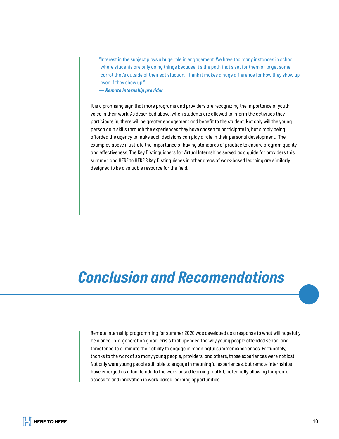*"Interest in the subject plays a huge role in engagement. We have too many instances in school where students are only doing things because it's the path that's set for them or to get some carrot that's outside of their satisfaction. I think it makes a huge difference for how they show up, even if they show up."*

*— Remote internship provider*

*It is a promising sign that more programs and providers are recognizing the importance of youth voice in their work. As described above, when students are allowed to inform the activities they participate in, there will be greater engagement and benefit to the student. Not only will the young person gain skills through the experiences they have chosen to participate in, but simply being afforded the agency to make such decisions can play a role in their personal development. The examples above illustrate the importance of having standards of practice to ensure program quality and effectiveness. The Key Distinguishers for Virtual Internships served as a guide for providers this summer, and HERE to HERE'S Key Distinguishes in other areas of work-based learning are similarly designed to be a valuable resource for the field.*

# *Conclusion and Recomendations*

*Remote internship programming for summer 2020 was developed as a response to what will hopefully be a once-in-a-generation global crisis that upended the way young people attended school and threatened to eliminate their ability to engage in meaningful summer experiences. Fortunately, thanks to the work of so many young people, providers, and others, those experiences were not lost. Not only were young people still able to engage in meaningful experiences, but remote internships have emerged as a tool to add to the work-based learning tool kit, potentially allowing for greater access to and innovation in work-based learning opportunities.*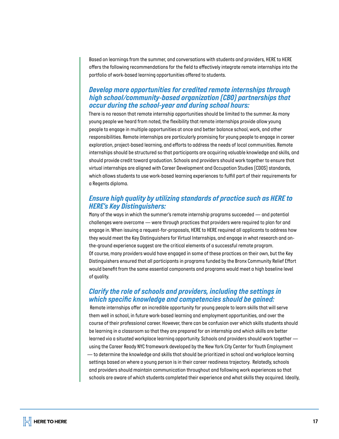*Based on learnings from the summer, and conversations with students and providers, HERE to HERE offers the following recommendations for the field to effectively integrate remote internships into the portfolio of work-based learning opportunities offered to students.*

#### *Develop more opportunities for credited remote internships through high school/community-based organization (CBO) partnerships that occur during the school-year and during school hours:*

*There is no reason that remote internship opportunities should be limited to the summer. As many young people we heard from noted, the flexibility that remote internships provide allow young people to engage in multiple opportunities at once and better balance school, work, and other responsibilities. Remote internships are particularly promising for young people to engage in career exploration, project-based learning, and efforts to address the needs of local communities. Remote*  internships should be structured so that participants are acquiring valuable knowledge and skills, and *should provide credit toward graduation. Schools and providers should work together to ensure that virtual internships are aligned with Career Development and Occupation Studies (CDOS) standards, which allows students to use work-based learning experiences to fulfill part of their requirements for a Regents diploma.* 

#### *Ensure high quality by utilizing standards of practice such as HERE to HERE's Key Distinguishers:*

*Many of the ways in which the summer's remote internship programs succeeded — and potential challenges were overcome — were through practices that providers were required to plan for and engage in. When issuing a request-for-proposals, HERE to HERE required all applicants to address how they would meet the Key Distinguishers for Virtual Internships, and engage in what research and onthe-ground experience suggest are the critical elements of a successful remote program. Of course, many providers would have engaged in some of these practices on their own, but the Key Distinguishers ensured that all participants in programs funded by the Bronx Community Relief Effort would benefit from the same essential components and programs would meet a high baseline level of quality.* 

#### *Clarify the role of schools and providers, including the settings in which specific knowledge and competencies should be gained:*

 *Remote internships offer an incredible opportunity for young people to learn skills that will serve them well in school, in future work-based learning and employment opportunities, and over the course of their professional career. However, there can be confusion over which skills students should be learning in a classroom so that they are prepared for an internship and which skills are better learned via a situated workplace learning opportunity. Schools and providers should work together using the Career Ready NYC framework developed by the New York City Center for Youth Employment — to determine the knowledge and skills that should be prioritized in school and workplace learning settings based on where a young person is in their career readiness trajectory. Relatedly, schools and providers should maintain communication throughout and following work experiences so that schools are aware of which students completed their experience and what skills they acquired. Ideally,*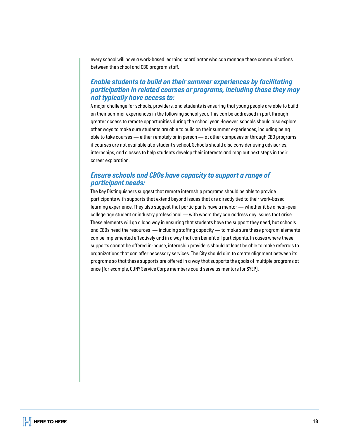*every school will have a work-based learning coordinator who can manage these communications between the school and CBO program staff.*

#### *Enable students to build on their summer experiences by facilitating participation in related courses or programs, including those they may not typically have access to:*

*A major challenge for schools, providers, and students is ensuring that young people are able to build on their summer experiences in the following school year. This can be addressed in part through greater access to remote opportunities during the school year. However, schools should also explore other ways to make sure students are able to build on their summer experiences, including being able to take courses — either remotely or in person — at other campuses or through CBO programs if courses are not available at a student's school. Schools should also consider using advisories, internships, and classes to help students develop their interests and map out next steps in their career exploration.* 

#### *Ensure schools and CBOs have capacity to support a range of participant needs:*

*The Key Distinguishers suggest that remote internship programs should be able to provide participants with supports that extend beyond issues that are directly tied to their work-based learning experience. They also suggest that participants have a mentor — whether it be a near-peer college age student or industry professional — with whom they can address any issues that arise. These elements will go a long way in ensuring that students have the support they need, but schools and CBOs need the resources — including staffing capacity — to make sure these program elements can be implemented effectively and in a way that can benefit all participants. In cases where these supports cannot be offered in-house, internship providers should at least be able to make referrals to organizations that can offer necessary services. The City should aim to create alignment between its programs so that these supports are offered in a way that supports the goals of multiple programs at once (for example, CUNY Service Corps members could serve as mentors for SYEP).*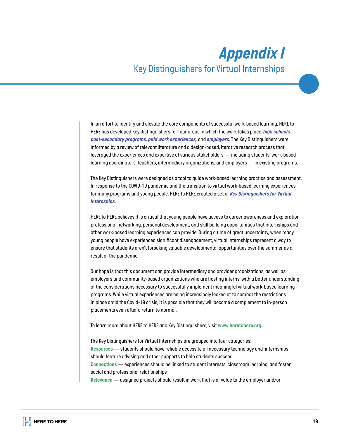# *Appendix I Key Distinguishers for Virtual Internships*

*In an effort to identify and elevate the core components of successful work-based learning, HERE to HERE has developed Key Distinguishers for four areas in which the work takes place: <i>high schools*, *post-secondary programs, paid work experiences, and employers. The Key Distinguishers were informed by a review of relevant literature and a design-based, iterative research process that leveraged the experiences and expertise of various stakeholders — including students, work-based learning coordinators, teachers, intermediary organizations, and employers — in existing programs.* 

*The Key Distinguishers were designed as a tool to guide work-based learning practice and assessment. In response to the COVID-19 pandemic and the transition to virtual work-based learning experiences for many programs and young people, HERE to HERE created a set of [Key Distinguishers for Virtual](https://www.heretohere.org/resource/key-distinguishers-for-virtual-paid-work-experiences/)  [Internships.](https://www.heretohere.org/resource/key-distinguishers-for-virtual-paid-work-experiences/)* 

*HERE to HERE believes it is critical that young people have access to career awareness and exploration, professional networking, personal development, and skill building opportunities that internships and other work-based learning experiences can provide. During a time of great uncertainty, when many young people have experienced significant disengagement, virtual internships represent a way to ensure that students aren't forsaking valuable developmental opportunities over the summer as a result of the pandemic.* 

*Our hope is that this document can provide intermediary and provider organizations, as well as employers and community-based organizations who are hosting interns, with a better understanding of the considerations necessary to successfully implement meaningful virtual work-based learning programs. While virtual experiences are being increasingly looked at to combat the restrictions in place amid the Covid-19 crisis, it is possible that they will become a complement to in-person placements even after a return to normal.* 

*To learn more about HERE to HERE and Key Distinguishers, visit [www.heretohere.org.](http://www.heretohere.org. )*

*The Key Distinguishers for Virtual Internships are grouped into four categories: Resources — students should have reliable access to all necessary technology and internships should feature advising and other supports to help students succeed Connections — experiences should be linked to student interests, classroom learning, and foster social and professional relationships Relevance — assigned projects should result in work that is of value to the employer and/or*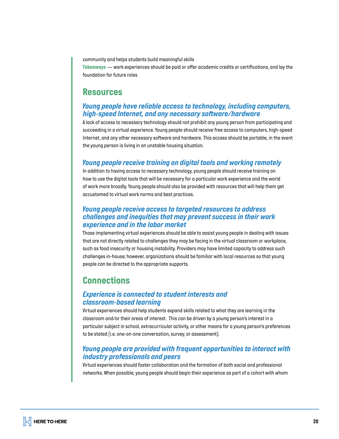*community and helps students build meaningful skills* 

*Takeaways — work experiences should be paid or offer academic credits or certifications, and lay the foundation for future roles*

#### *Resources*

#### *Young people have reliable access to technology, including computers, high-speed Internet, and any necessary software/hardware*

*A lack of access to necessary technology should not prohibit any young person from participating and succeeding in a virtual experience. Young people should receive free access to computers, high-speed Internet, and any other necessary software and hardware. This access should be portable, in the event the young person is living in an unstable housing situation.* 

#### *Young people receive training on digital tools and working remotely*

*In addition to having access to necessary technology, young people should receive training on how to use the digital tools that will be necessary for a particular work experience and the world of work more broadly. Young people should also be provided with resources that will help them get accustomed to virtual work norms and best practices.* 

#### *Young people receive access to targeted resources to address challenges and inequities that may prevent success in their work experience and in the labor market*

*Those implementing virtual experiences should be able to assist young people in dealing with issues that are not directly related to challenges they may be facing in the virtual classroom or workplace, such as food insecurity or housing instability. Providers may have limited capacity to address such challenges in-house; however, organizations should be familiar with local resources so that young people can be directed to the appropriate supports.*

# *Connections*

#### *Experience is connected to student interests and classroom-based learning*

*Virtual experiences should help students expand skills related to what they are learning in the classroom and/or their areas of interest. This can be driven by a young person's interest in a particular subject in school, extracurricular activity, or other means for a young person's preferences to be stated (i.e. one-on-one conversation, survey, or assessment).*

#### *Young people are provided with frequent opportunities to interact with industry professionals and peers*

*Virtual experiences should foster collaboration and the formation of both social and professional networks. When possible, young people should begin their experience as part of a cohort with whom*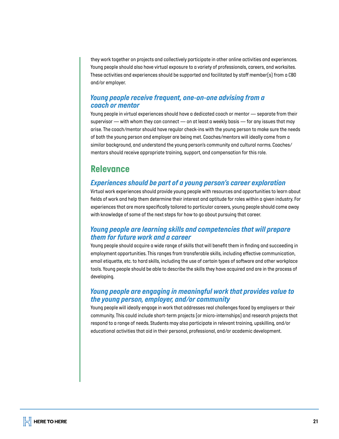*they work together on projects and collectively participate in other online activities and experiences. Young people should also have virtual exposure to a variety of professionals, careers, and worksites. These activities and experiences should be supported and facilitated by staff member(s) from a CBO and/or employer.* 

#### *Young people receive frequent, one-on-one advising from a coach or mentor*

*Young people in virtual experiences should have a dedicated coach or mentor — separate from their supervisor — with whom they can connect — on at least a weekly basis — for any issues that may arise. The coach/mentor should have regular check-ins with the young person to make sure the needs of both the young person and employer are being met. Coaches/mentors will ideally come from a similar background, and understand the young person's community and cultural norms. Coaches/ mentors should receive appropriate training, support, and compensation for this role.*

### *Relevance*

#### *Experiences should be part of a young person's career exploration*

*Virtual work experiences should provide young people with resources and opportunities to learn about fields of work and help them determine their interest and aptitude for roles within a given industry. For experiences that are more specifically tailored to particular careers, young people should come away with knowledge of some of the next steps for how to go about pursuing that career.* 

#### *Young people are learning skills and competencies that will prepare them for future work and a career*

*Young people should acquire a wide range of skills that will benefit them in finding and succeeding in employment opportunities. This ranges from transferable skills, including effective communication, email etiquette, etc. to hard skills, including the use of certain types of software and other workplace tools. Young people should be able to describe the skills they have acquired and are in the process of developing.* 

#### *Young people are engaging in meaningful work that provides value to the young person, employer, and/or community*

*Young people will ideally engage in work that addresses real challenges faced by employers or their community. This could include short-term projects (or micro-internships) and research projects that respond to a range of needs. Students may also participate in relevant training, upskilling, and/or educational activities that aid in their personal, professional, and/or academic development.*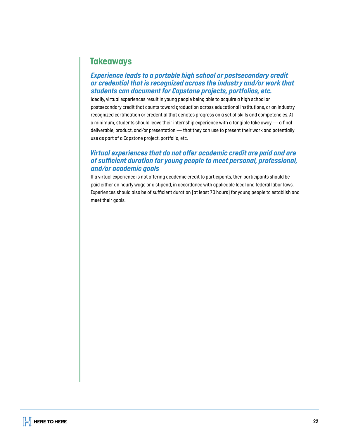# *Takeaways*

#### *Experience leads to a portable high school or postsecondary credit or credential that is recognized across the industry and/or work that students can document for Capstone projects, portfolios, etc.*

*Ideally, virtual experiences result in young people being able to acquire a high school or postsecondary credit that counts toward graduation across educational institutions, or an industry recognized certification or credential that denotes progress on a set of skills and competencies. At a minimum, students should leave their internship experience with a tangible take away — a final deliverable, product, and/or presentation — that they can use to present their work and potentially use as part of a Capstone project, portfolio, etc.* 

#### *Virtual experiences that do not offer academic credit are paid and are of sufficient duration for young people to meet personal, professional, and/or academic goals*

*If a virtual experience is not offering academic credit to participants, then participants should be paid either an hourly wage or a stipend, in accordance with applicable local and federal labor laws. Experiences should also be of sufficient duration (at least 70 hours) for young people to establish and meet their goals.*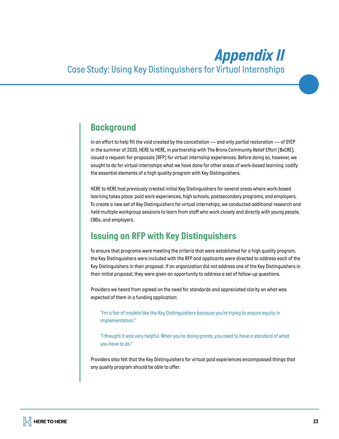# *Appendix II*

# *Case Study: Using Key Distinguishers for Virtual Internships*

### *Background*

*In an effort to help fill the void created by the cancellation — and only partial restoration — of SYEP in the summer of 2020, HERE to HERE, in partnership with The Bronx Community Relief Effort (BxCRE), issued a request-for-proposals (RFP) for virtual internship experiences. Before doing so, however, we sought to do for virtual internships what we have done for other areas of work-based learning: codify the essential elements of a high quality program with Key Distinguishers.* 

*HERE to HERE had previously created initial Key Distinguishers for several areas where work-based learning takes place: paid work experiences, high schools, postsecondary programs, and employers. To create a new set of Key Distinguishers for virtual internships, we conducted additional research and held multiple workgroup sessions to learn from staff who work closely and directly with young people, CBOs, and employers.* 

# *Issuing an RFP with Key Distinguishers*

*To ensure that programs were meeting the criteria that were established for a high quality program, the Key Distinguishers were included with the RFP and applicants were directed to address each of the Key Distinguishers in their proposal. If an organization did not address one of the Key Distinguishers in their initial proposal, they were given an opportunity to address a set of follow-up questions.* 

*Providers we heard from agreed on the need for standards and appreciated clarity on what was expected of them in a funding application:* 

*"I'm a fan of models like the Key Distinguishers because you're trying to ensure equity in implementation."* 

*"I thought it was very helpful. When you're doing grants, you need to have a standard of what you have to do."*

*Providers also felt that the Key Distinguishers for virtual paid experiences encompassed things that any quality program should be able to offer:*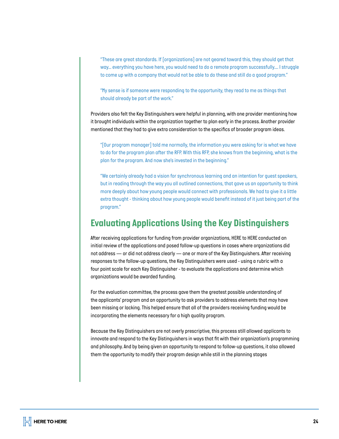*"These are great standards. If [organizations] are not geared toward this, they should get that way… everything you have here, you would need to do a remote program successfully.... I struggle to come up with a company that would not be able to do these and still do a good program."* 

*"My sense is if someone were responding to the opportunity, they read to me as things that should already be part of the work."*

*Providers also felt the Key Distinguishers were helpful in planning, with one provider mentioning how it brought individuals within the organization together to plan early in the process. Another provider mentioned that they had to give extra consideration to the specifics of broader program ideas.* 

*"[Our program manager] told me normally, the information you were asking for is what we have to do for the program plan after the RFP. With this RFP, she knows from the beginning, what is the plan for the program. And now she's invested in the beginning."* 

*"We certainly already had a vision for synchronous learning and an intention for guest speakers, but in reading through the way you all outlined connections, that gave us an opportunity to think more deeply about how young people would connect with professionals. We had to give it a little extra thought - thinking about how young people would benefit instead of it just being part of the program."* 

### *Evaluating Applications Using the Key Distinguishers*

*After receiving applications for funding from provider organizations, HERE to HERE conducted an initial review of the applications and posed follow-up questions in cases where organizations did not address — or did not address clearly — one or more of the Key Distinguishers. After receiving responses to the follow-up questions, the Key Distinguishers were used - using a rubric with a four point scale for each Key Distinguisher - to evaluate the applications and determine which organizations would be awarded funding.* 

*For the evaluation committee, the process gave them the greatest possible understanding of the applicants' program and an opportunity to ask providers to address elements that may have been missing or lacking. This helped ensure that all of the providers receiving funding would be incorporating the elements necessary for a high quality program.* 

*Because the Key Distinguishers are not overly prescriptive, this process still allowed applicants to innovate and respond to the Key Distinguishers in ways that fit with their organization's programming and philosophy. And by being given an opportunity to respond to follow-up questions, it also allowed them the opportunity to modify their program design while still in the planning stages*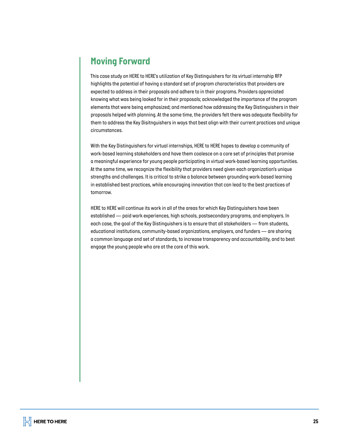# *Moving Forward*

*This case study on HERE to HERE's utilization of Key Distinguishers for its virtual internship RFP highlights the potential of having a standard set of program characteristics that providers are expected to address in their proposals and adhere to in their programs. Providers appreciated knowing what was being looked for in their proposals; acknowledged the importance of the program elements that were being emphasized; and mentioned how addressing the Key Distinguishers in their proposals helped with planning. At the same time, the providers felt there was adequate flexibility for them to address the Key Disitnguishers in ways that best align with their current practices and unique circumstances.* 

*With the Key Distinguishers for virtual internships, HERE to HERE hopes to develop a community of work-based learning stakeholders and have them coalesce on a core set of principles that promise a meaningful experience for young people participating in virtual work-based learning opportunities. At the same time, we recognize the flexibility that providers need given each organization's unique strengths and challenges. It is critical to strike a balance between grounding work-based learning in established best practices, while encouraging innovation that can lead to the best practices of tomorrow.* 

*HERE to HERE will continue its work in all of the areas for which Key Distinguishers have been established — paid work experiences, high schools, postsecondary programs, and employers. In each case, the goal of the Key Distinguishers is to ensure that all stakeholders — from students, educational institutions, community-based organizations, employers, and funders — are sharing a common language and set of standards, to increase transparency and accountability, and to best engage the young people who are at the core of this work.*